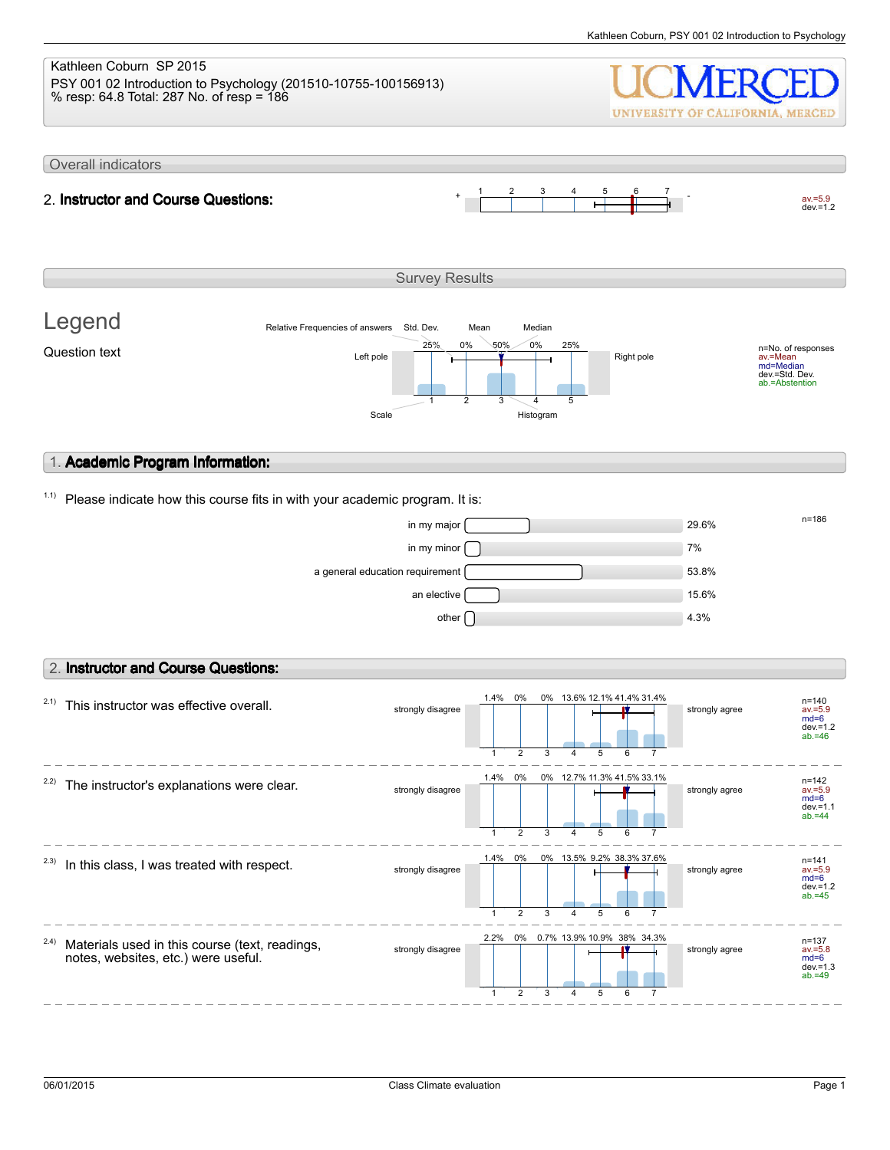## Kathleen Coburn SP 2015 PSY 001 02 Introduction to Psychology (201510-10755-100156913) % resp: 64.8 Total: 287 No. of resp = 186

UNIVERSITY OF CALIFORNIA, MERCED

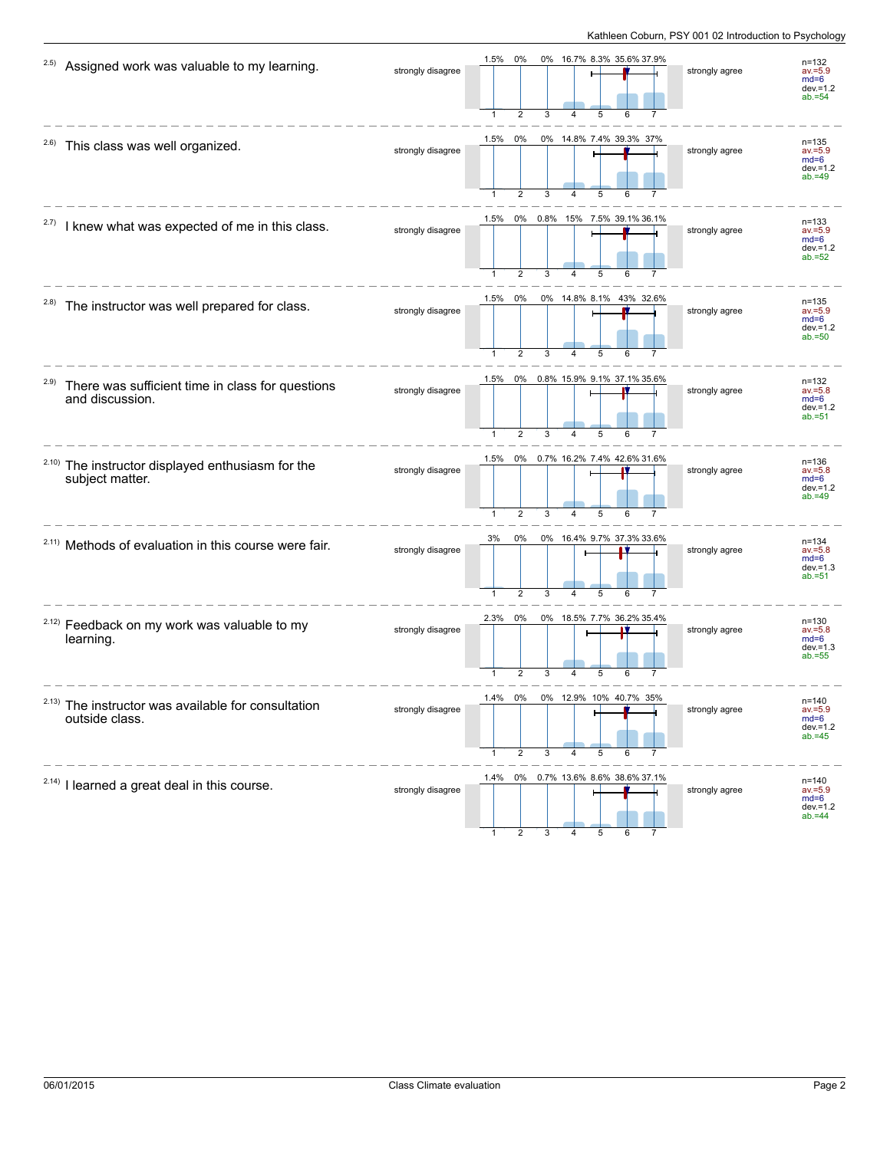| 2.5)<br>Assigned work was valuable to my learning.                          | strongly disagree | 0% 16.7% 8.3% 35.6% 37.9%<br>1.5%<br>0%<br>2                                      | strongly agree | $n = 132$<br>$av = 5.9$<br>$md=6$<br>$dev = 1.2$<br>$ab = 54$ |
|-----------------------------------------------------------------------------|-------------------|-----------------------------------------------------------------------------------|----------------|---------------------------------------------------------------|
| <sup>2.6)</sup> This class was well organized.                              | strongly disagree | 0%<br>0% 14.8% 7.4% 39.3% 37%<br>1.5%<br>$\overline{2}$<br>3<br>5<br>4            | strongly agree | $n = 135$<br>$av = 5.9$<br>$md=6$<br>$dev = 1.2$<br>$ab = 49$ |
| 2.7)<br>I knew what was expected of me in this class.                       | strongly disagree | 1.5%<br>0% 0.8% 15% 7.5% 39.1% 36.1%<br>4<br>5                                    | strongly agree | $n = 133$<br>$av = 5.9$<br>$md=6$<br>$dev = 1.2$<br>$ab = 52$ |
| 2.8)<br>The instructor was well prepared for class.                         | strongly disagree | 0% 14.8% 8.1% 43% 32.6%<br>1.5% 0%<br>1<br>2<br>3<br>4<br>5                       | strongly agree | n=135<br>$av = 5.9$<br>$md=6$<br>$dev = 1.2$<br>$ab = 50$     |
| 2.9)<br>There was sufficient time in class for questions<br>and discussion. | strongly disagree | 0% 0.8% 15.9% 9.1% 37.1% 35.6%<br>1.5%<br>1<br>$\overline{2}$<br>3<br>5<br>6<br>4 | strongly agree | $n = 132$<br>$av = 5.8$<br>$md=6$<br>$dev = 1.2$<br>$ab = 51$ |
| 2.10)<br>The instructor displayed enthusiasm for the<br>subject matter.     | strongly disagree | 1.5%<br>0% 0.7% 16.2% 7.4% 42.6% 31.6%<br>1<br>$\overline{2}$<br>3<br>5           | strongly agree | $n = 136$<br>$av = 5.8$<br>$md=6$<br>dev. $=1.2$<br>$ab = 49$ |
| <sup>2.11)</sup> Methods of evaluation in this course were fair.            | strongly disagree | 0% 16.4% 9.7% 37.3% 33.6%<br>3%<br>0%<br>$\overline{2}$                           | strongly agree | $n = 134$<br>$av = 5.8$<br>$md=6$<br>$dev = 1.3$<br>$ab = 51$ |
| <sup>2.12)</sup> Feedback on my work was valuable to my<br>learning.        | strongly disagree | 0%<br>0% 18.5% 7.7% 36.2% 35.4%<br>2.3%<br>5                                      | strongly agree | $n = 130$<br>$av = 5.8$<br>$md=6$<br>$dev = 1.3$<br>$ab = 55$ |
| $2.13)$ The instructor was available for consultation<br>outside class.     | strongly disagree | 1.4% U%<br>0% 12.9% 10% 40.7% 35%<br>2<br>3<br>1<br>4<br>5                        | strongly agree | n=140<br>$av = 5.9$<br>$md=6$<br>$dev = 1.2$<br>$ab = 45$     |
| <sup>2.14)</sup> I learned a great deal in this course.                     | strongly disagree | 1.4% 0% 0.7% 13.6% 8.6% 38.6% 37.1%                                               | strongly agree | $n = 140$<br>$av = 5.9$<br>$md=6$<br>$dev = 1.2$<br>$ab = 44$ |

1 2 3 4 5 6 7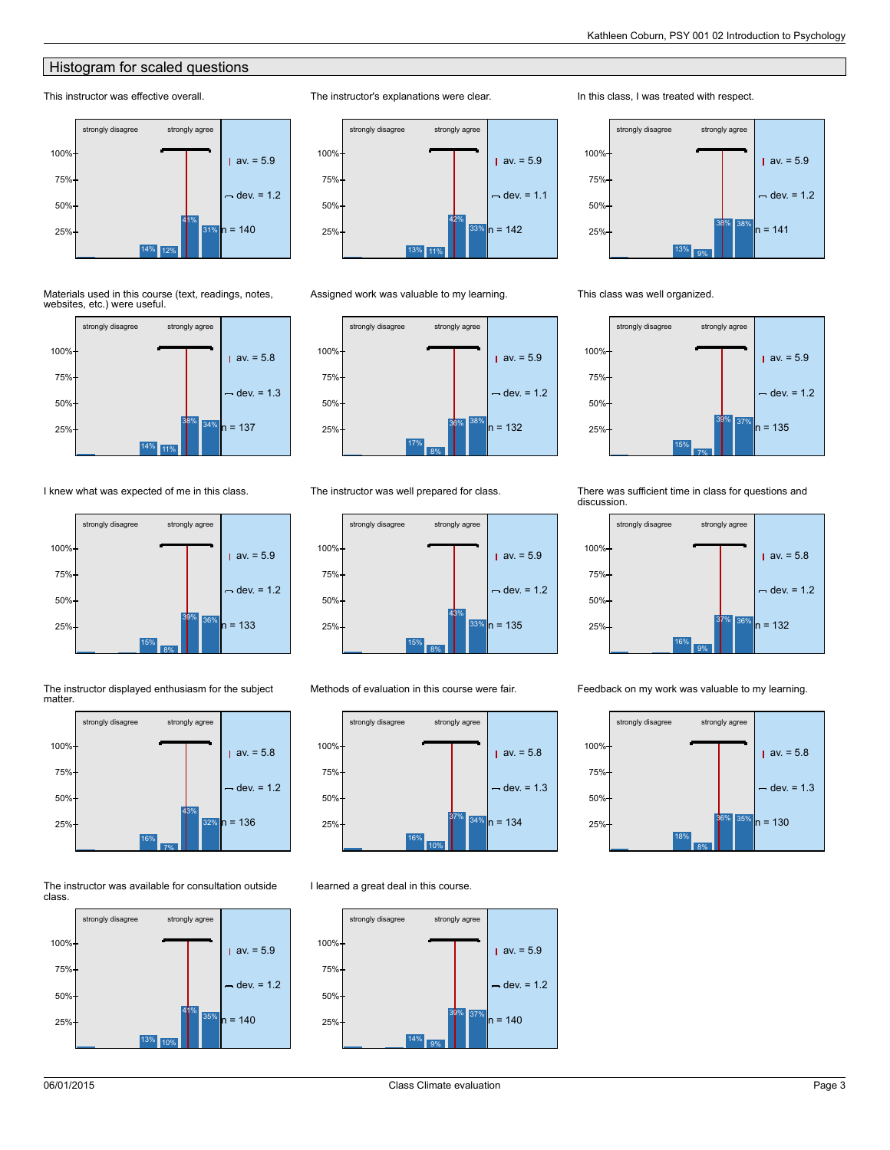## **Histogram for scaled questions**

## This instructor was effective overall.



Materials used in this course (text, readings, notes, websites, etc.) were useful.



I knew what was expected of me in this class.





32%

The instructor displayed enthusiasm for the subject

The instructor was available for consultation outside class.

16% 7%

25% n = 136





Assigned work was valuable to my learning.

The instructor's explanations were clear.



### The instructor was well prepared for class.



Methods of evaluation in this course were fair.



I learned a great deal in this course.



In this class, I was treated with respect.





15% 7% 3<mark>9%</mark> 37% strongly disagree strongly agree  $ax = 5.9$  $-$  dev. = 1.2  $25\%$  n = 135 50% 75% 100%

There was sufficient time in class for questions and discussion.



Feedback on my work was valuable to my learning.

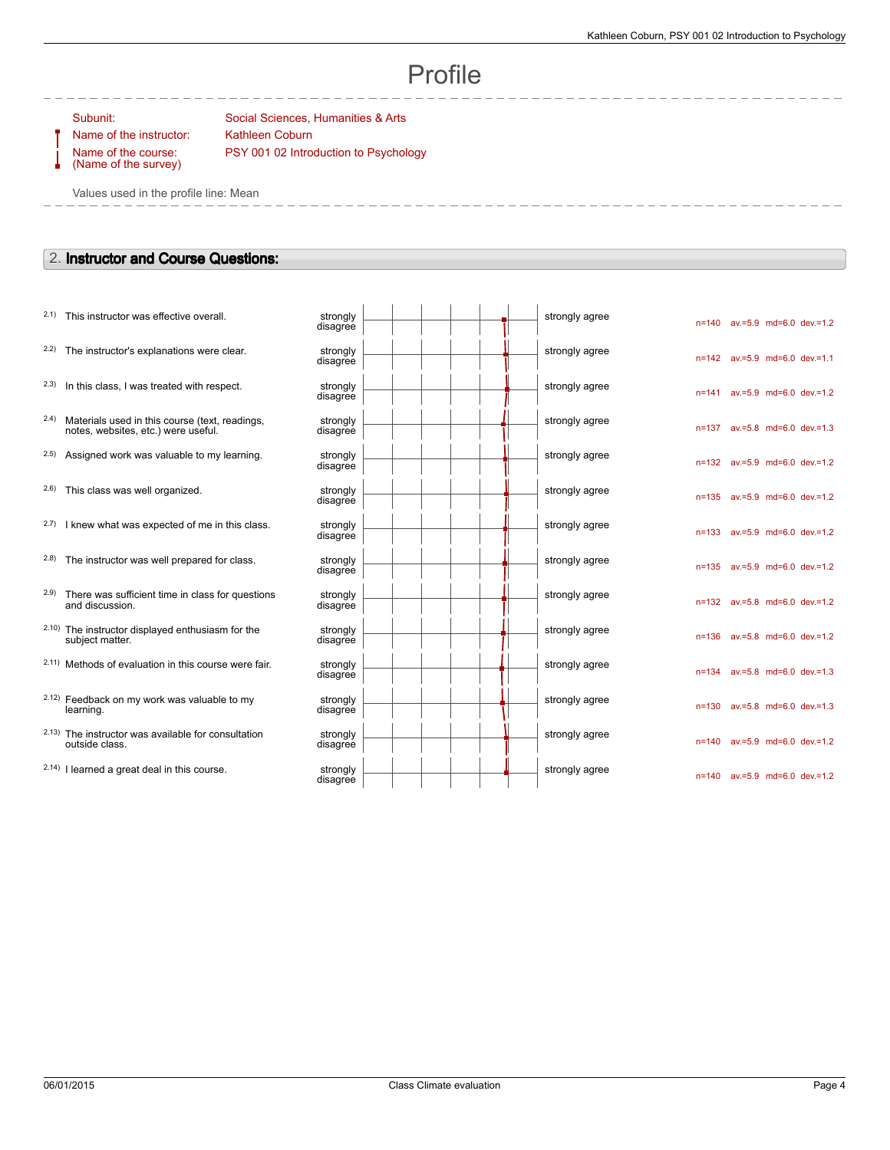n=140 av.=5.9 md=6.0 dev.=1.2

n=142 av.=5.9 md=6.0 dev.=1.1

n=141 av.=5.9 md=6.0 dev.=1.2

n=137 av.=5.8 md=6.0 dev.=1.3

n=132 av.=5.9 md=6.0 dev.=1.2

n=135 av.=5.9 md=6.0 dev.=1.2

n=133 av.=5.9 md=6.0 dev.=1.2

n=135 av.=5.9 md=6.0 dev.=1.2

n=132 av.=5.8 md=6.0 dev.=1.2

n=136 av.=5.8 md=6.0 dev.=1.2

n=134 av.=5.8 md=6.0 dev.=1.3

n=130 av.=5.8 md=6.0 dev.=1.3

n=140 av.=5.9 md=6.0 dev.=1.2

n=140 av.=5.9 md=6.0 dev.=1.2

# Profile

Name of the course: (Name of the survey)

Subunit: Subunit: Social Sciences, Humanities & Arts Name of the instructor: Kathleen Coburn PSY 001 02 Introduction to Psychology

Values used in the profile line: Mean

## 2. **Instructor and Course Questions:**

| 2.1) This instructor was effective overall. | strongly |
|---------------------------------------------|----------|
|                                             |          |

 $2.2)$  The instructor's explanations were clear.

- $2.3$  In this class, I was treated with respect.
- 2.4) Materials used in this course (text, readings, notes, websites, etc.) were useful.
- $2.5$ ) Assigned work was valuable to my learning.
- $2.6$ ) This class was well organized.
- $2.7$ ) I knew what was expected of me in this class.
- $2.8$ ) The instructor was well prepared for class.
- 2.9) There was sufficient time in class for questions and discussion.
- 2.10) The instructor displayed enthusiasm for the subject matter.
- $2.11)$  Methods of evaluation in this course were fair.
- 2.12) Feedback on my work was valuable to my learning.
- 2.13) The instructor was available for consultation outside class.
- $2.14$ ) I learned a great deal in this course.

| strongly<br>disagree |  |  | strongly agree |
|----------------------|--|--|----------------|
| strongly<br>disagree |  |  | strongly agree |
| strongly<br>disagree |  |  | strongly agree |
| strongly<br>disagree |  |  | strongly agree |
| strongly<br>disagree |  |  | strongly agree |
| strongly<br>disagree |  |  | strongly agree |
| strongly<br>disagree |  |  | strongly agree |
| strongly<br>disagree |  |  | strongly agree |
| strongly<br>disagree |  |  | strongly agree |
| strongly<br>disagree |  |  | strongly agree |
| strongly<br>disagree |  |  | strongly agree |
| strongly<br>disagree |  |  | strongly agree |
| strongly<br>disagree |  |  | strongly agree |
| strongly<br>disagree |  |  | strongly agree |
|                      |  |  |                |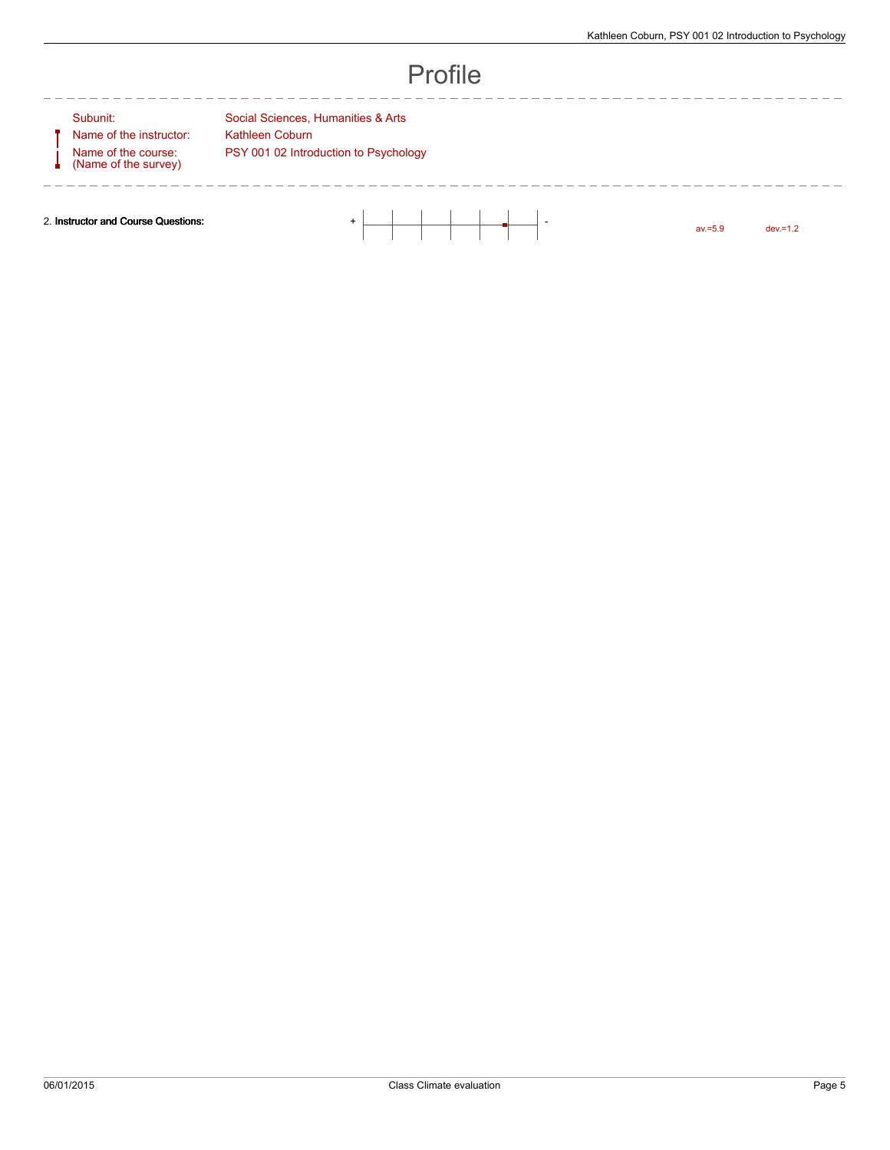------------------

|--|

-------------

 $\overline{\phantom{0}}$ 

Name of the course: (Name of the survey)

------------

Subunit: Social Sciences, Humanities & Arts Name of the instructor: Kathleen Coburn PSY 001 02 Introduction to Psychology

 $- - - - - -$ 

 $- - -$ 

2. **Instructor and Course Questions:** + -

av.=5.9 dev.=1.2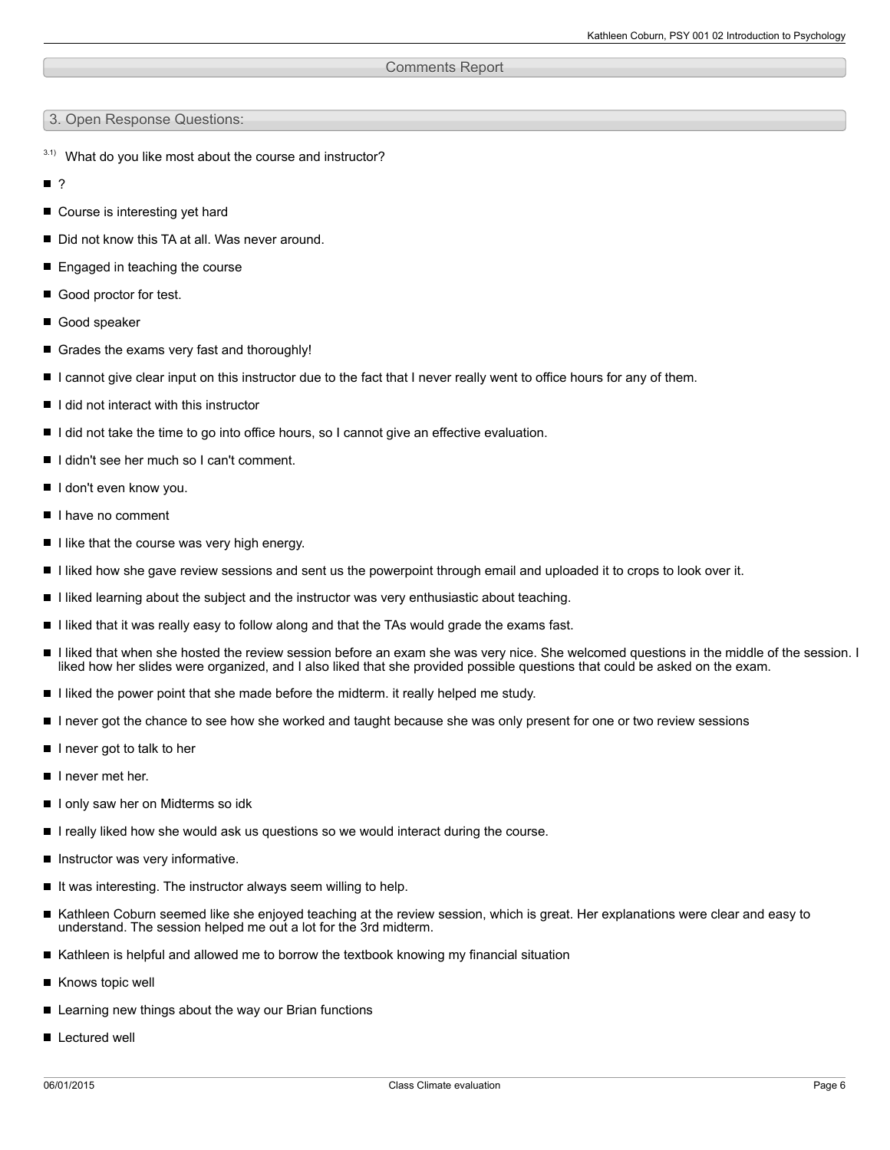## Comments Report

3. Open Response Questions:

- $3.1)$  What do you like most about the course and instructor?
- ?
- Course is interesting yet hard
- Did not know this TA at all. Was never around.
- Engaged in teaching the course
- Good proctor for test.
- Good speaker
- Grades the exams very fast and thoroughly!
- I cannot give clear input on this instructor due to the fact that I never really went to office hours for any of them.
- I I did not interact with this instructor
- I did not take the time to go into office hours, so I cannot give an effective evaluation.
- I didn't see her much so I can't comment.
- I don't even know you.
- I have no comment
- $\blacksquare$  I like that the course was very high energy.
- I liked how she gave review sessions and sent us the powerpoint through email and uploaded it to crops to look over it.
- I liked learning about the subject and the instructor was very enthusiastic about teaching.
- I liked that it was really easy to follow along and that the TAs would grade the exams fast.
- I liked that when she hosted the review session before an exam she was very nice. She welcomed questions in the middle of the session. I liked how her slides were organized, and I also liked that she provided possible questions that could be asked on the exam.
- I liked the power point that she made before the midterm. it really helped me study.
- I never got the chance to see how she worked and taught because she was only present for one or two review sessions
- I never got to talk to her
- $\blacksquare$  I never met her.
- I I only saw her on Midterms so idk
- I really liked how she would ask us questions so we would interact during the course.
- Instructor was very informative.
- $\blacksquare$  It was interesting. The instructor always seem willing to help.
- Kathleen Coburn seemed like she enjoyed teaching at the review session, which is great. Her explanations were clear and easy to understand. The session helped me out a lot for the 3rd midterm.
- $\blacksquare$  Kathleen is helpful and allowed me to borrow the textbook knowing my financial situation
- Knows topic well
- Learning new things about the way our Brian functions
- **Lectured well**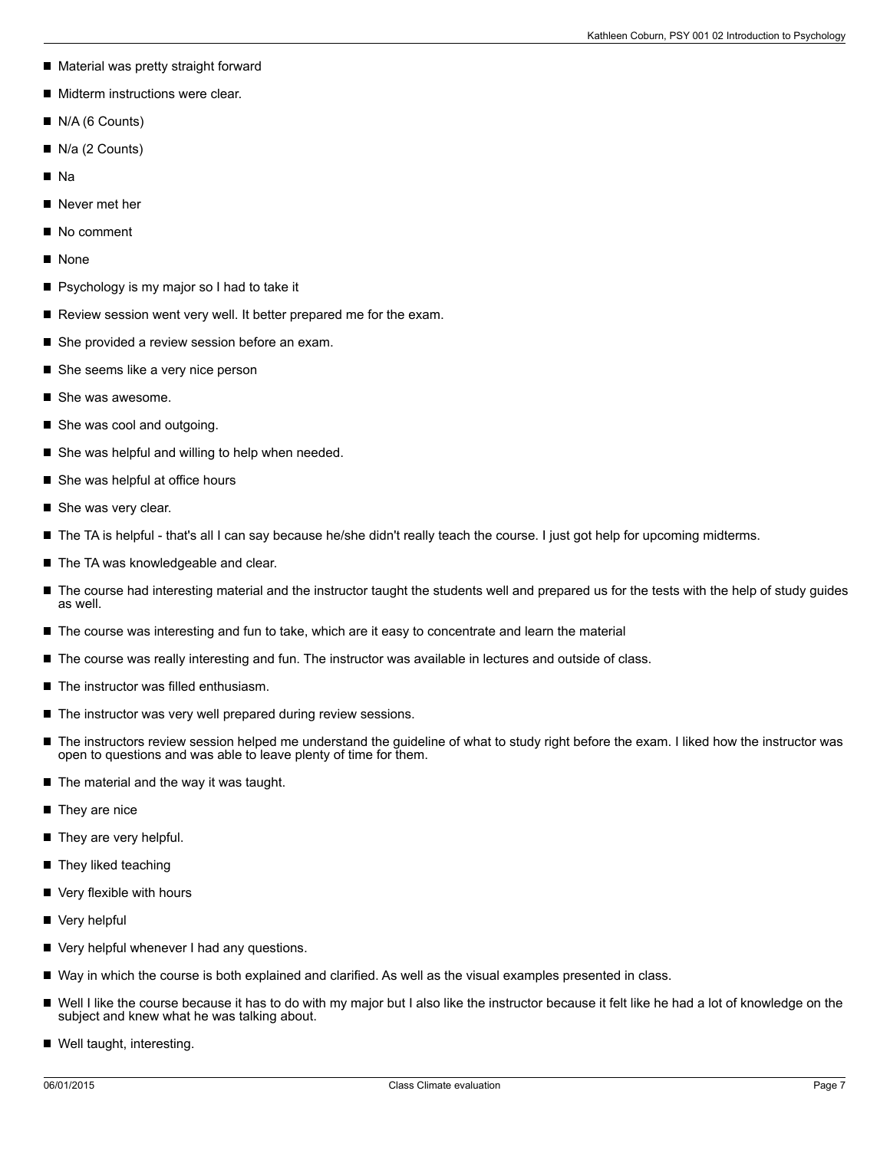- Material was pretty straight forward
- **Midterm instructions were clear.**
- N/A (6 Counts)
- N/a (2 Counts)
- na Na
- Never met her
- No comment
- **None**
- Psychology is my major so I had to take it
- Review session went very well. It better prepared me for the exam.
- She provided a review session before an exam.
- She seems like a very nice person
- She was awesome.
- She was cool and outgoing.
- She was helpful and willing to help when needed.
- She was helpful at office hours
- $\blacksquare$ She was very clear.
- The TA is helpful that's all I can say because he/she didn't really teach the course. I just got help for upcoming midterms.
- The TA was knowledgeable and clear.
- $\blacksquare$ The course had interesting material and the instructor taught the students well and prepared us for the tests with the help of study guides as well.
- The course was interesting and fun to take, which are it easy to concentrate and learn the material
- The course was really interesting and fun. The instructor was available in lectures and outside of class.
- The instructor was filled enthusiasm.
- $\blacksquare$  The instructor was very well prepared during review sessions.
- The instructors review session helped me understand the guideline of what to study right before the exam. I liked how the instructor was П open to questions and was able to leave plenty of time for them.
- The material and the way it was taught.  $\blacksquare$
- They are nice
- They are very helpful.
- They liked teaching
- Very flexible with hours
- Very helpful
- Very helpful whenever I had any questions.
- Way in which the course is both explained and clarified. As well as the visual examples presented in class.
- Well I like the course because it has to do with my major but I also like the instructor because it felt like he had a lot of knowledge on the subject and knew what he was talking about.
- Well taught, interesting.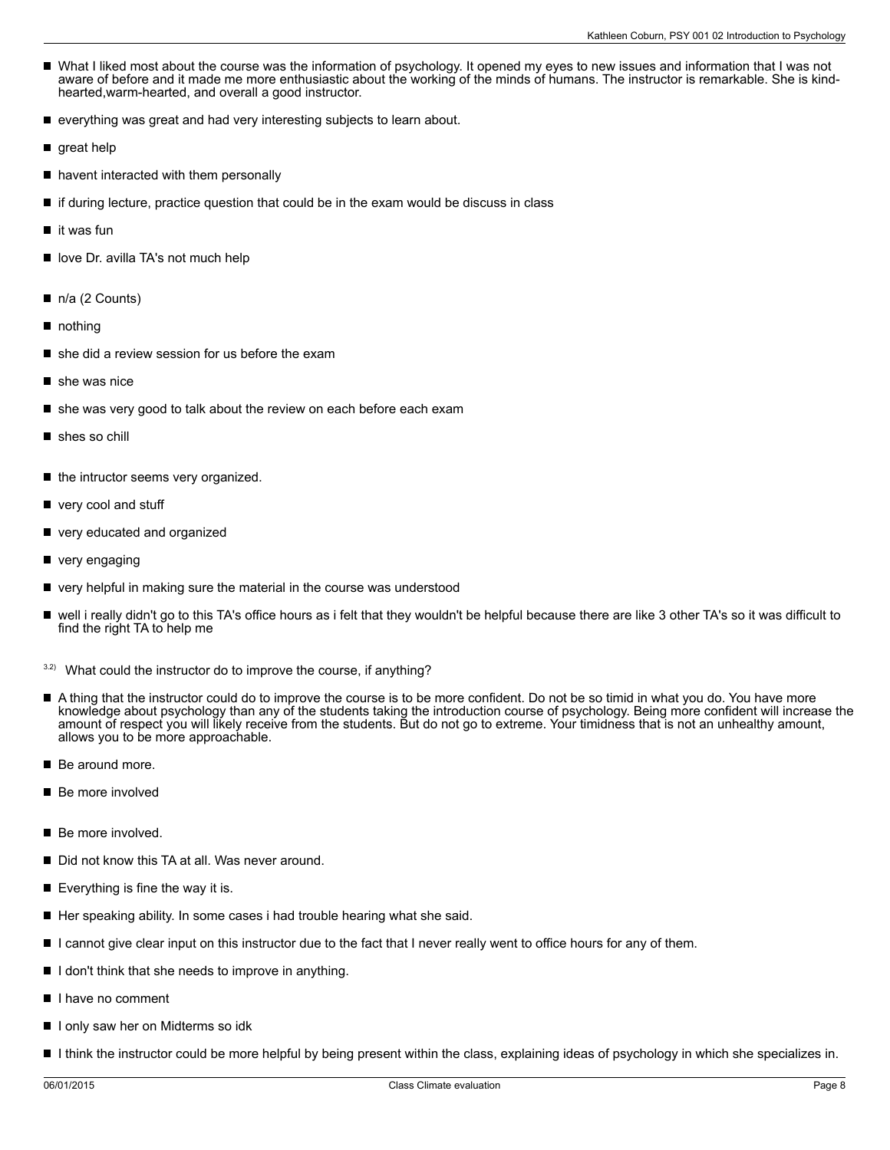- What I liked most about the course was the information of psychology. It opened my eyes to new issues and information that I was not aware of before and it made me more enthusiastic about the working of the minds of humans. The instructor is remarkable. She is kindhearted,warm-hearted, and overall a good instructor.
- $\blacksquare$ everything was great and had very interesting subjects to learn about.
- great help
- havent interacted with them personally
- if during lecture, practice question that could be in the exam would be discuss in class
- it was fun  $\blacksquare$
- love Dr. avilla TA's not much help
- n/a (2 Counts)
- nothing
- she did a review session for us before the exam
- she was nice
- she was very good to talk about the review on each before each exam
- shes so chill
- П the intructor seems very organized.
- very cool and stuff
- very educated and organized
- very engaging
- very helpful in making sure the material in the course was understood
- well i really didn't go to this TA's office hours as i felt that they wouldn't be helpful because there are like 3 other TA's so it was difficult to find the right TA to help me
- $3.2$ ) What could the instructor do to improve the course, if anything?
- A thing that the instructor could do to improve the course is to be more confident. Do not be so timid in what you do. You have more knowledge about psychology than any of the students taking the introduction course of psychology. Being more confident will increase the amount of respect you will likely receive from the students. But do not go to extreme. Your timidness that is not an unhealthy amount, allows you to be more approachable.
- $\blacksquare$ Be around more.
- Be more involved
- Be more involved.
- Did not know this TA at all. Was never around.
- Everything is fine the way it is.
- Her speaking ability. In some cases i had trouble hearing what she said.
- I cannot give clear input on this instructor due to the fact that I never really went to office hours for any of them.
- I don't think that she needs to improve in anything.
- I have no comment
- I I only saw her on Midterms so idk
- I think the instructor could be more helpful by being present within the class, explaining ideas of psychology in which she specializes in.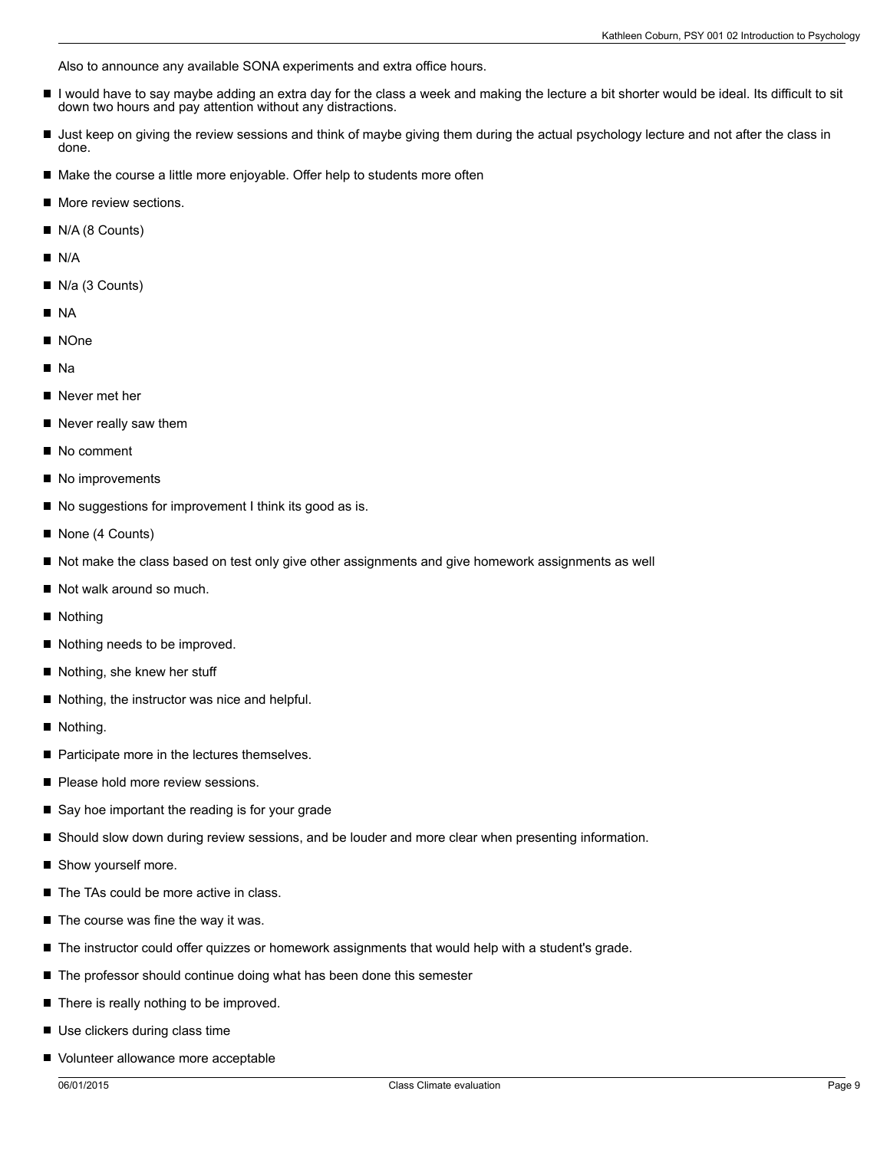Also to announce any available SONA experiments and extra office hours.

- $\blacksquare$ I would have to say maybe adding an extra day for the class a week and making the lecture a bit shorter would be ideal. Its difficult to sit down two hours and pay attention without any distractions.
- If Just keep on giving the review sessions and think of maybe giving them during the actual psychology lecture and not after the class in done.
- Make the course a little more enjoyable. Offer help to students more often
- **More review sections.**
- N/A (8 Counts)
- $N/A$
- N/a (3 Counts)
- NA
- NOne
- na Na
- Never met her
- Never really saw them
- No comment
- No improvements
- No suggestions for improvement I think its good as is.
- None (4 Counts)
- Not make the class based on test only give other assignments and give homework assignments as well
- Not walk around so much.
- Nothing
- Nothing needs to be improved.
- Nothing, she knew her stuff
- Nothing, the instructor was nice and helpful.
- **Nothing.**
- Participate more in the lectures themselves.
- Please hold more review sessions.
- Say hoe important the reading is for your grade
- Should slow down during review sessions, and be louder and more clear when presenting information.
- Show yourself more.
- The TAs could be more active in class.
- The course was fine the way it was. П
- The instructor could offer quizzes or homework assignments that would help with a student's grade.
- The professor should continue doing what has been done this semester
- $\blacksquare$  There is really nothing to be improved.
- Use clickers during class time
- Volunteer allowance more acceptable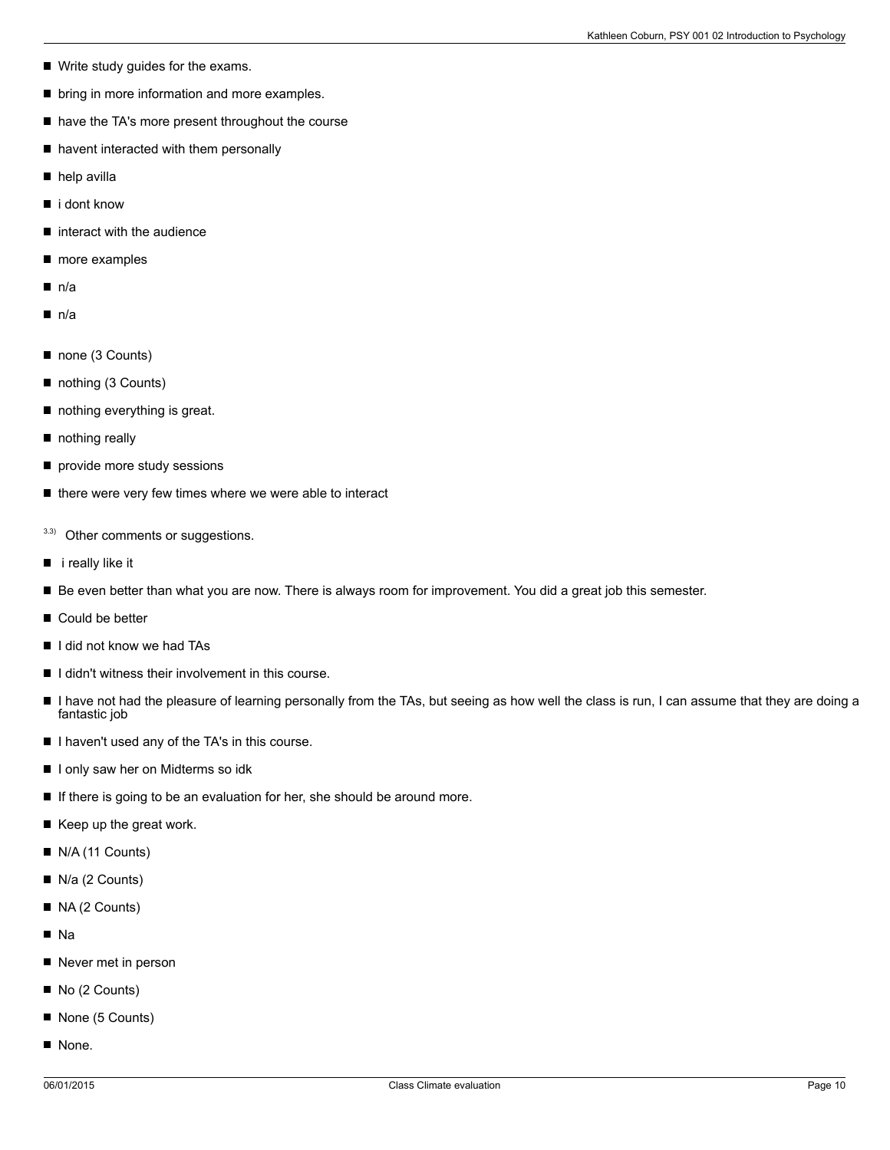- Write study guides for the exams.
- **D** bring in more information and more examples.
- have the TA's more present throughout the course
- havent interacted with them personally
- help avilla
- $\blacksquare$  i dont know
- interact with the audience П
- more examples  $\blacksquare$
- $n/a$
- $n/a$
- none (3 Counts)
- nothing (3 Counts) П
- nothing everything is great.
- nothing really
- provide more study sessions
- $\blacksquare$  there were very few times where we were able to interact
- 3.3) Other comments or suggestions.
- $\blacksquare$  i really like it
- Be even better than what you are now. There is always room for improvement. You did a great job this semester.
- Could be better
- I I did not know we had TAs
- $\blacksquare$  I didn't witness their involvement in this course.
- I have not had the pleasure of learning personally from the TAs, but seeing as how well the class is run, I can assume that they are doing a fantastic job
- I I haven't used any of the TA's in this course.
- I only saw her on Midterms so idk
- If there is going to be an evaluation for her, she should be around more.
- $\blacksquare$  Keep up the great work.
- N/A (11 Counts)
- N/a (2 Counts)
- NA (2 Counts)
- Na
- Never met in person
- No (2 Counts)
- None (5 Counts)
- None.